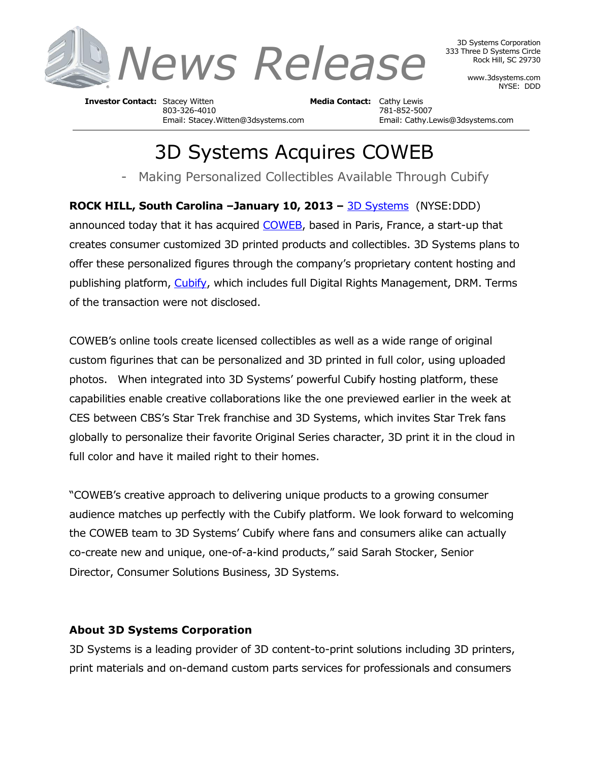

3D Systems Corporation 333 Three D Systems Circle Rock Hill, SC 29730

> www.3dsystems.com NYSE: DDD

**Investor Contact:** Stacey Witten **Media Contact:** Cathy Lewis 803-326-4010 781-852-5007

Email: Stacey.Witten@3dsystems.com Email: Cathy.Lewis@3dsystems.com

## 3D Systems Acquires COWEB

- Making Personalized Collectibles Available Through Cubify

**ROCK HILL, South Carolina –January 10, 2013 –** [3D Systems](http://www.3dsystems.com/) (NYSE:DDD)

announced today that it has acquired [COWEB,](http://www.votrefigurine.com/) based in Paris, France, a start-up that creates consumer customized 3D printed products and collectibles. 3D Systems plans to offer these personalized figures through the company's proprietary content hosting and publishing platform, [Cubify,](http://www.cubify.com/) which includes full Digital Rights Management, DRM. Terms of the transaction were not disclosed.

COWEB's online tools create licensed collectibles as well as a wide range of original custom figurines that can be personalized and 3D printed in full color, using uploaded photos. When integrated into 3D Systems' powerful Cubify hosting platform, these capabilities enable creative collaborations like the one previewed earlier in the week at CES between CBS's Star Trek franchise and 3D Systems, which invites Star Trek fans globally to personalize their favorite Original Series character, 3D print it in the cloud in full color and have it mailed right to their homes.

"COWEB's creative approach to delivering unique products to a growing consumer audience matches up perfectly with the Cubify platform. We look forward to welcoming the COWEB team to 3D Systems' Cubify where fans and consumers alike can actually co-create new and unique, one-of-a-kind products," said Sarah Stocker, Senior Director, Consumer Solutions Business, 3D Systems.

## **About 3D Systems Corporation**

3D Systems is a leading provider of 3D content-to-print solutions including 3D printers, print materials and on-demand custom parts services for professionals and consumers